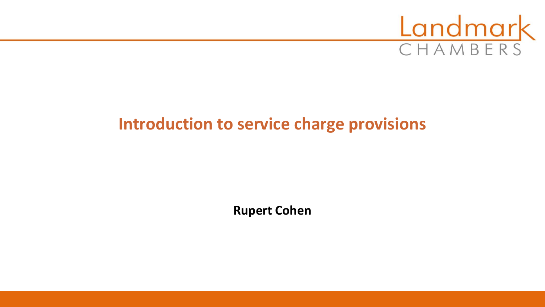

# **Introduction to service charge provisions**

**Rupert Cohen**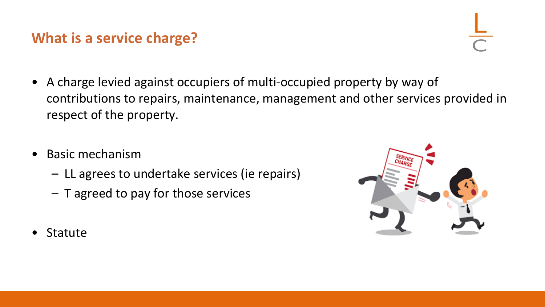## **What is a service charge?**

- A charge levied against occupiers of multi-occupied property by way of contributions to repairs, maintenance, management and other services provided in respect of the property.
- Basic mechanism
	- LL agrees to undertake services (ie repairs)
	- T agreed to pay for those services

**Statute**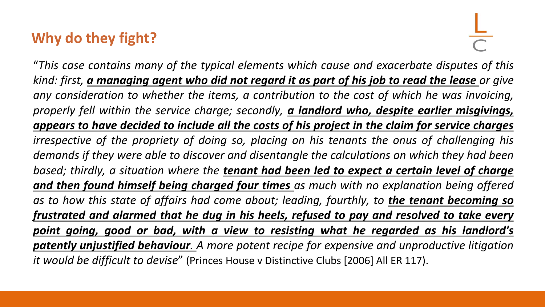## **Why do they fight?**

"*This case contains many of the typical elements which cause and exacerbate disputes of this* kind: first, a managing agent who did not regard it as part of his job to read the lease or give *any consideration to whether the items, a contribution to the cost of which he was invoicing, properly fell within the service charge; secondly, a landlord who, despite earlier misgivings, appears to have decided to include all the costs of his project in the claim for service charges irrespective of the propriety of doing so, placing on his tenants the onus of challenging his demands if they were able to discover and disentangle the calculations on which they had been based; thirdly, a situation where the tenant had been led to expect a certain level of charge and then found himself being charged four times as much with no explanation being offered as to how this state of affairs had come about; leading, fourthly, to the tenant becoming so frustrated and alarmed that he dug in his heels, refused to pay and resolved to take every point going, good or bad, with a view to resisting what he regarded as his landlord's patently unjustified behaviour. A more potent recipe for expensive and unproductive litigation it would be difficult to devise*" (Princes House v Distinctive Clubs [2006] All ER 117).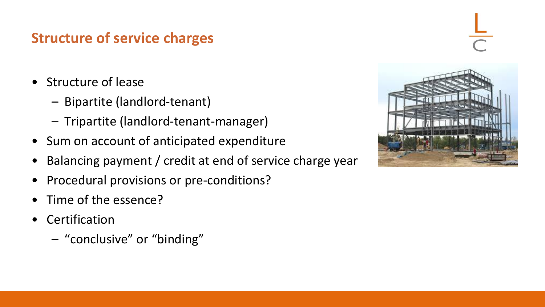# **Structure of service charges**

- Structure of lease
	- Bipartite (landlord-tenant)
	- Tripartite (landlord-tenant-manager)
- Sum on account of anticipated expenditure
- Balancing payment / credit at end of service charge year
- Procedural provisions or pre-conditions?
- Time of the essence?
- **Certification** 
	- "conclusive" or "binding"